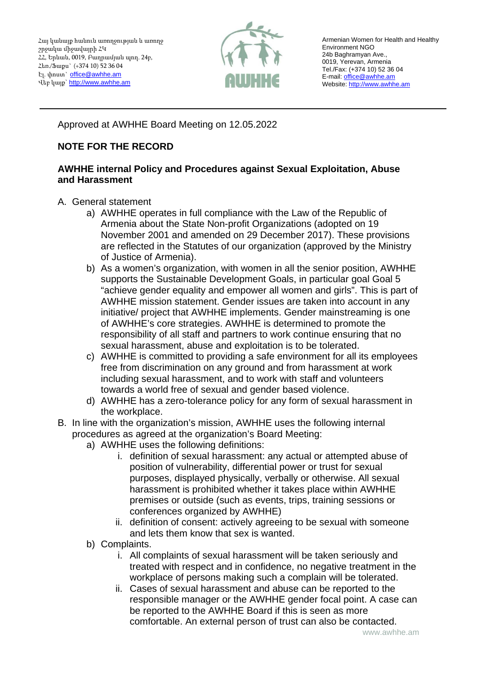

Armenian Women for Health and Healthy Environment NGO 24b Baghramyan Ave., 0019, Yerevan, Armenia Tel./Fax: (+374 10) 52 36 04 E-mail[: office@awhhe.am](mailto:office@awhhe.am) Website[: http://www.awhhe.am](http://www.awhhe.am/)

Approved at AWHHE Board Meeting on 12.05.2022

## **NOTE FOR THE RECORD**

## **AWHHE internal Policy and Procedures against Sexual Exploitation, Abuse and Harassment**

- A. General statement
	- a) AWHHE operates in full compliance with the Law of the Republic of Armenia about the State Non-profit Organizations (adopted on 19 November 2001 and amended on 29 December 2017). These provisions are reflected in the Statutes of our organization (approved by the Ministry of Justice of Armenia).
	- b) As a women's organization, with women in all the senior position, AWHHE supports the Sustainable Development Goals, in particular goal Goal 5 "achieve gender equality and empower all women and girls". This is part of AWHHE mission statement. Gender issues are taken into account in any initiative/ project that AWHHE implements. Gender mainstreaming is one of AWHHE's core strategies. AWHHE is determined to promote the responsibility of all staff and partners to work continue ensuring that no sexual harassment, abuse and exploitation is to be tolerated.
	- c) AWHHE is committed to providing a safe environment for all its employees free from discrimination on any ground and from harassment at work including sexual harassment, and to work with staff and volunteers towards a world free of sexual and gender based violence.
	- d) AWHHE has a zero-tolerance policy for any form of sexual harassment in the workplace.
- B. In line with the organization's mission, AWHHE uses the following internal procedures as agreed at the organization's Board Meeting:
	- a) AWHHE uses the following definitions:
		- i. definition of sexual harassment: any actual or attempted abuse of position of vulnerability, differential power or trust for sexual purposes, displayed physically, verbally or otherwise. All sexual harassment is prohibited whether it takes place within AWHHE premises or outside (such as events, trips, training sessions or conferences organized by AWHHE)
		- ii. definition of consent: actively agreeing to be sexual with someone and lets them know that sex is wanted.
	- b) Complaints.
		- i. All complaints of sexual harassment will be taken seriously and treated with respect and in confidence, no negative treatment in the workplace of persons making such a complain will be tolerated.
		- ii. Cases of sexual harassment and abuse can be reported to the responsible manager or the AWHHE gender focal point. A case can be reported to the AWHHE Board if this is seen as more comfortable. An external person of trust can also be contacted.